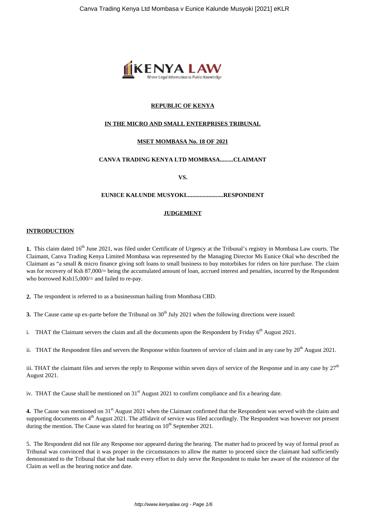

# **REPUBLIC OF KENYA**

## **IN THE MICRO AND SMALL ENTERPRISES TRIBUNAL**

## **MSET MOMBASA No. 18 OF 2021**

# **CANVA TRADING KENYA LTD MOMBASA.........CLAIMANT**

**VS.**

#### **EUNICE KALUNDE MUSYOKI.........................RESPONDENT**

#### **JUDGEMENT**

#### **INTRODUCTION**

**1.** This claim dated 16<sup>th</sup> June 2021, was filed under Certificate of Urgency at the Tribunal's registry in Mombasa Law courts. The Claimant, Canva Trading Kenya Limited Mombasa was represented by the Managing Director Ms Eunice Okal who described the Claimant as "a small & micro finance giving soft loans to small business to buy motorbikes for riders on hire purchase. The claim was for recovery of Ksh 87,000/= being the accumulated amount of loan, accrued interest and penalties, incurred by the Respondent who borrowed Ksh15,000/= and failed to re-pay.

**2.** The respondent is referred to as a businessman hailing from Mombasa CBD.

**3.** The Cause came up ex-parte before the Tribunal on 30<sup>th</sup> July 2021 when the following directions were issued:

i. THAT the Claimant servers the claim and all the documents upon the Respondent by Friday  $6<sup>th</sup>$  August 2021.

ii. THAT the Respondent files and servers the Response within fourteen of service of claim and in any case by  $20^{th}$  August 2021.

iii. THAT the claimant files and serves the reply to Response within seven days of service of the Response and in any case by  $27<sup>th</sup>$ August 2021.

iv. THAT the Cause shall be mentioned on  $31<sup>st</sup>$  August 2021 to confirm compliance and fix a hearing date.

4. The Cause was mentioned on 31<sup>st</sup> August 2021 when the Claimant confirmed that the Respondent was served with the claim and supporting documents on 4<sup>th</sup> August 2021. The affidavit of service was filed accordingly. The Respondent was however not present during the mention. The Cause was slated for hearing on  $10<sup>th</sup>$  September 2021.

5. The Respondent did not file any Response nor appeared during the hearing. The matter had to proceed by way of formal proof as Tribunal was convinced that it was proper in the circumstances to allow the matter to proceed since the claimant had sufficiently demonstrated to the Tribunal that she had made every effort to duly serve the Respondent to make her aware of the existence of the Claim as well as the hearing notice and date.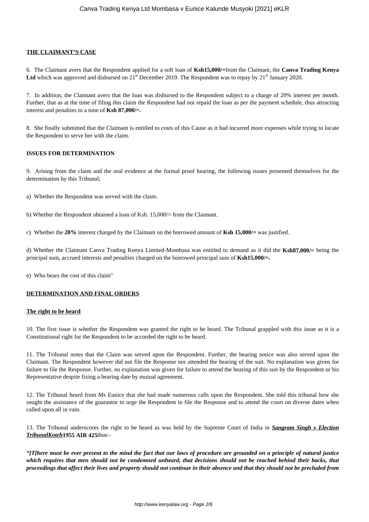### **THE CLAIMANT'S CASE**

6. The Claimant avers that the Respondent applied for a soft loan of **Ksh15,000/=**from the Claimant, the **Canva Trading Kenya** Ltd which was approved and disbursed on 21<sup>st</sup> December 2019. The Respondent was to repay by 21<sup>st</sup> January 2020.

7. In addition, the Claimant avers that the loan was disbursed to the Respondent subject to a charge of 20% interest per month. Further, that as at the time of filing this claim the Respondent had not repaid the loan as per the payment schedule, thus attracting interest and penalties to a tune of **Ksh 87,000/=.**

8. She finally submitted that the Claimant is entitled to costs of this Cause as it had incurred more expenses while trying to locate the Respondent to serve her with the claim.

#### **ISSUES FOR DETERMINATION**

9. Arising from the claim and the oral evidence at the formal proof hearing, the following issues presented themselves for the determination by this Tribunal;

- a) Whether the Respondent was served with the claim.
- b) Whether the Respondent obtained a loan of Ksh. 15,000/= from the Claimant.

c) Whether the **20%** interest charged by the Claimant on the borrowed amount of **Ksh 15,000/=** was justified.

d) Whether the Claimant Canva Trading Kenya Limited-Mombasa was entitled to demand as it did the **Ksh87,000/=** being the principal sum, accrued interests and penalties charged on the borrowed principal sum of **Ksh15,000/=.**

e) Who bears the cost of this claim"

#### **DETERMINATION AND FINAL ORDERS**

#### **The right to be heard**

10. The first issue is whether the Respondent was granted the right to be heard. The Tribunal grappled with this issue as it is a Constitutional right for the Respondent to be accorded the right to be heard.

11. The Tribunal notes that the Claim was served upon the Respondent. Further, the hearing notice was also served upon the Claimant. The Respondent however did not file the Response nor attended the hearing of the suit. No explanation was given for failure to file the Response. Further, no explanation was given for failure to attend the hearing of this suit by the Respondent or his Representative despite fixing a hearing date by mutual agreement.

12. The Tribunal heard from Ms Eunice that she had made numerous calls upon the Respondent. She told this tribunal how she sought the assistance of the guarantor to urge the Respondent to file the Response and to attend the court on diverse dates when called upon all in vain.

13. The Tribunal underscores the right to be heard as was held by the Supreme Court of India in *Sangram Singh v Election TribunalKoteh***1955 AIR 425**thus:-

*"[T]here must be ever present to the mind the fact that our laws of procedure are grounded on a principle of natural justice which requires that men should not be condemned unheard, that decisions should not be reached behind their backs, that proceedings that affect their lives and property should not continue in their absence and that they should not be precluded from*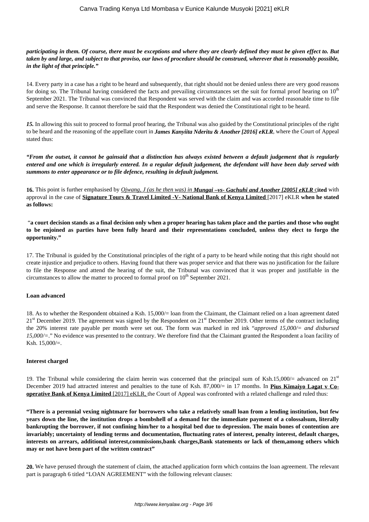### *participating in them. Of course, there must be exceptions and where they are clearly defined they must be given effect to. But taken by and large, and subject to that proviso, our laws of procedure should be construed, wherever that is reasonably possible, in the light of that principle."*

14. Every party in a case has a right to be heard and subsequently, that right should not be denied unless there are very good reasons for doing so. The Tribunal having considered the facts and prevailing circumstances set the suit for formal proof hearing on 10<sup>th</sup> September 2021. The Tribunal was convinced that Respondent was served with the claim and was accorded reasonable time to file and serve the Response. It cannot therefore be said that the Respondent was denied the Constitutional right to be heard.

*15.* In allowing this suit to proceed to formal proof hearing, the Tribunal was also guided by the Constitutional principles of the right to be heard and the reasoning of the appellate court in *James Kanyiita Nderitu & Another [2016] eKLR*, where the Court of Appeal stated thus:

*"From the outset, it cannot be gainsaid that a distinction has always existed between a default judgement that is regularly entered and one which is irregularly entered. In a regular default judgement, the defendant will have been duly served with summons to enter appearance or to file defence, resulting in default judgment.*

**16.** This point is further emphasised by *Ojwang, J (as he then was) in Mungai –vs- Gachuhi and Another [2005] eKLR* c**ited** with approval in the case of **Signature Tours & Travel Limited -V- National Bank of Kenya Limited** [2017] eKLR **when he stated as follows:** 

"**a court decision stands as a final decision only when a proper hearing has taken place and the parties and those who ought to be enjoined as parties have been fully heard and their representations concluded, unless they elect to forgo the opportunity."**

17. The Tribunal is guided by the Constitutional principles of the right of a party to be heard while noting that this right should not create injustice and prejudice to others. Having found that there was proper service and that there was no justification for the failure to file the Response and attend the hearing of the suit, the Tribunal was convinced that it was proper and justifiable in the circumstances to allow the matter to proceed to formal proof on  $10<sup>th</sup>$  September 2021.

#### **Loan advanced**

18. As to whether the Respondent obtained a Ksh. 15,000/= loan from the Claimant, the Claimant relied on a loan agreement dated  $21<sup>st</sup>$  December 2019. The agreement was signed by the Respondent on  $21<sup>st</sup>$  December 2019. Other terms of the contract including the 20% interest rate payable per month were set out. The form was marked in red ink "*approved 15,000/= and disbursed 15,000/=*." No evidence was presented to the contrary. We therefore find that the Claimant granted the Respondent a loan facility of Ksh. 15,000/=.

#### **Interest charged**

19. The Tribunal while considering the claim herein was concerned that the principal sum of Ksh.15,000/= advanced on  $21<sup>st</sup>$ December 2019 had attracted interest and penalties to the tune of Ksh. 87,000/= in 17 months. In **Pius Kimaiyo Lagat v Cooperative Bank of Kenya Limited** [2017] eKLR, the Court of Appeal was confronted with a related challenge and ruled thus:

**"There is a perennial vexing nightmare for borrowers who take a relatively small loan from a lending institution, but few years down the line, the institution drops a bombshell of a demand for the immediate payment of a colossalsum, literally bankrupting the borrower, if not confining him/her to a hospital bed due to depression. The main bones of contention are invariably; uncertainty of lending terms and documentation, fluctuating rates of interest, penalty interest, default charges, interests on arrears, additional interest,commissions,bank charges,Bank statements or lack of them,among others which may or not have been part of the written contract"**

**20.** We have perused through the statement of claim, the attached application form which contains the loan agreement. The relevant part is paragraph 6 titled "LOAN AGREEMENT" with the following relevant clauses: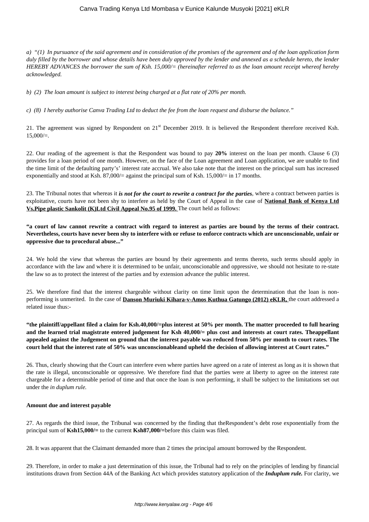# Canva Trading Kenya Ltd Mombasa v Eunice Kalunde Musyoki [2021] eKLR

*a) "(1) In pursuance of the said agreement and in consideration of the promises of the agreement and of the loan application form duly filled by the borrower and whose details have been duly approved by the lender and annexed as a schedule hereto, the lender HEREBY ADVANCES the borrower the sum of Ksh. 15,000/= (hereinafter referred to as the loan amount receipt whereof hereby acknowledged.*

*b) (2) The loan amount is subject to interest being charged at a flat rate of 20% per month.* 

*c) (8) I hereby authorise Canva Trading Ltd to deduct the fee from the loan request and disburse the balance."* 

21. The agreement was signed by Respondent on 21<sup>st</sup> December 2019. It is believed the Respondent therefore received Ksh.  $15,000/=$ .

22. Our reading of the agreement is that the Respondent was bound to pay **20%** interest on the loan per month. Clause 6 (3) provides for a loan period of one month. However, on the face of the Loan agreement and Loan application, we are unable to find the time limit of the defaulting party's' interest rate accrual. We also take note that the interest on the principal sum has increased exponentially and stood at Ksh. 87,000/= against the principal sum of Ksh. 15,000/= in 17 months.

23. The Tribunal notes that whereas it *is not for the court to rewrite a contract for the parties*, where a contract between parties is exploitative, courts have not been shy to interfere as held by the Court of Appeal in the case of **National Bank of Kenya Ltd Vs.Pipe plastic Sankolit (K)Ltd Civil Appeal No.95 of 1999.** The court held as follows:

**"a court of law cannot rewrite a contract with regard to interest as parties are bound by the terms of their contract. Nevertheless, courts have never been shy to interfere with or refuse to enforce contracts which are unconscionable, unfair or oppressive due to procedural abuse..."**

24. We hold the view that whereas the parties are bound by their agreements and terms thereto, such terms should apply in accordance with the law and where it is determined to be unfair, unconscionable and oppressive, we should not hesitate to re-state the law so as to protect the interest of the parties and by extension advance the public interest.

25. We therefore find that the interest chargeable without clarity on time limit upon the determination that the loan is nonperforming is unmerited. In the case of **Danson Muriuki Kihara-v-Amos Kuthua Gatungo (2012) eKLR,** the court addressed a related issue thus:-

**"the plaintiff/appellant filed a claim for Ksh.40,000/=plus interest at 50% per month. The matter proceeded to full hearing and the learned trial magistrate entered judgement for Ksh 40,000/= plus cost and interests at court rates. Theappellant appealed against the Judgement on ground that the interest payable was reduced from 50% per month to court rates. The court held that the interest rate of 50% was unconscionableand upheld the decision of allowing interest at Court rates."**

26. Thus, clearly showing that the Court can interfere even where parties have agreed on a rate of interest as long as it is shown that the rate is illegal, unconscionable or oppressive. We therefore find that the parties were at liberty to agree on the interest rate chargeable for a determinable period of time and that once the loan is non performing, it shall be subject to the limitations set out under the *in duplum rule.* 

#### **Amount due and interest payable**

27. As regards the third issue, the Tribunal was concerned by the finding that theRespondent's debt rose exponentially from the principal sum of **Ksh15,000/=** to the current **Ksh87,000/=**before this claim was filed.

28. It was apparent that the Claimant demanded more than 2 times the principal amount borrowed by the Respondent.

29. Therefore, in order to make a just determination of this issue, the Tribunal had to rely on the principles of lending by financial institutions drawn from Section 44A of the Banking Act which provides statutory application of the *Induplum rule.* For clarity, we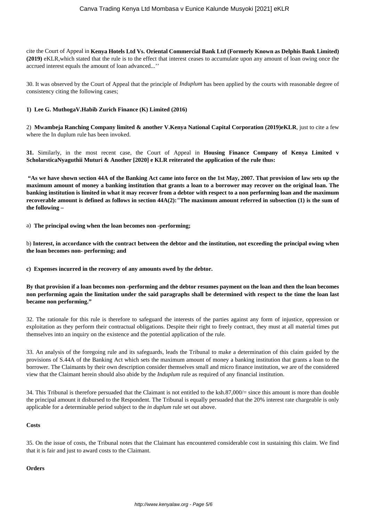cite the Court of Appeal in **Kenya Hotels Ltd Vs. Oriental Commercial Bank Ltd (Formerly Known as Delphis Bank Limited) (2019)** eKLR,which stated that the rule is to the effect that interest ceases to accumulate upon any amount of loan owing once the accrued interest equals the amount of loan advanced...''

30. It was observed by the Court of Appeal that the principle of *Induplum* has been applied by the courts with reasonable degree of consistency citing the following cases;

### **1) Lee G. MuthogaV.Habib Zurich Finance (K) Limited (2016)**

2) **Mwambeja Ranching Company limited & another V.Kenya National Capital Corporation (2019)eKLR**, just to cite a few where the In duplum rule has been invoked.

**31.** Similarly, in the most recent case, the Court of Appeal in **Housing Finance Company of Kenya Limited v ScholarsticaNyaguthii Muturi & Another [2020] e KLR reiterated the application of the rule thus:** 

**"As we have shown section 44A of the Banking Act came into force on the 1st May, 2007. That provision of law sets up the maximum amount of money a banking institution that grants a loan to a borrower may recover on the original loan. The banking institution is limited in what it may recover from a debtor with respect to a non performing loan and the maximum recoverable amount is defined as follows in section 44A(2):***"***The maximum amount referred in subsection (1) is the sum of the following –**

a) **The principal owing when the loan becomes non -performing;**

b) **Interest, in accordance with the contract between the debtor and the institution, not exceeding the principal owing when the loan becomes non- performing; and**

**c) Expenses incurred in the recovery of any amounts owed by the debtor.**

**By that provision if a loan becomes non -performing and the debtor resumes payment on the loan and then the loan becomes non performing again the limitation under the said paragraphs shall be determined with respect to the time the loan last became non performing."**

32. The rationale for this rule is therefore to safeguard the interests of the parties against any form of injustice, oppression or exploitation as they perform their contractual obligations. Despite their right to freely contract, they must at all material times put themselves into an inquiry on the existence and the potential application of the rule.

33. An analysis of the foregoing rule and its safeguards, leads the Tribunal to make a determination of this claim guided by the provisions of S.44A of the Banking Act which sets the maximum amount of money a banking institution that grants a loan to the borrower. The Claimants by their own description consider themselves small and micro finance institution, we are of the considered view that the Claimant herein should also abide by the *Induplum* rule as required of any financial institution.

34. This Tribunal is therefore persuaded that the Claimant is not entitled to the ksh.87,000/= since this amount is more than double the principal amount it disbursed to the Respondent. The Tribunal is equally persuaded that the 20% interest rate chargeable is only applicable for a determinable period subject to the *in duplum* rule set out above.

#### **Costs**

35. On the issue of costs, the Tribunal notes that the Claimant has encountered considerable cost in sustaining this claim. We find that it is fair and just to award costs to the Claimant.

#### **Orders**